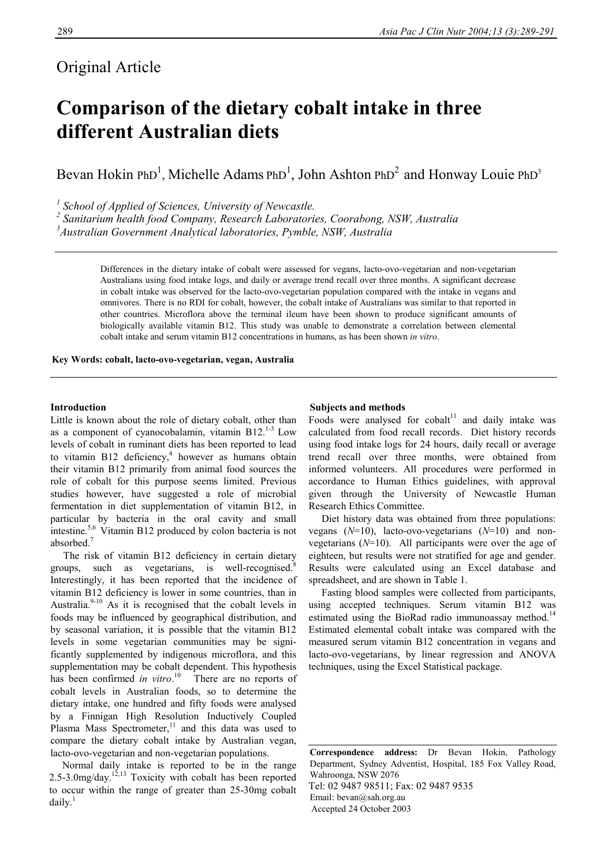# Original Article

# **Comparison of the dietary cobalt intake in three different Australian diets**

Bevan Hokin PhD<sup>1</sup>, Michelle Adams PhD<sup>1</sup>, John Ashton PhD<sup>2</sup> and Honway Louie PhD<sup>3</sup>

<sup>1</sup> School of Applied of Sciences, University of Newcastle.

*2 Sanitarium health food Company, Research Laboratories, Coorabong, NSW, Australia* 

*3 Australian Government Analytical laboratories, Pymble, NSW, Australia* 

Differences in the dietary intake of cobalt were assessed for vegans, lacto-ovo-vegetarian and non-vegetarian Australians using food intake logs, and daily or average trend recall over three months. A significant decrease in cobalt intake was observed for the lacto-ovo-vegetarian population compared with the intake in vegans and omnivores. There is no RDI for cobalt, however, the cobalt intake of Australians was similar to that reported in other countries. Microflora above the terminal ileum have been shown to produce significant amounts of biologically available vitamin B12. This study was unable to demonstrate a correlation between elemental cobalt intake and serum vitamin B12 concentrations in humans, as has been shown *in vitro*.

**Key Words: cobalt, lacto-ovo-vegetarian, vegan, Australia** 

# **Introduction**

Little is known about the role of dietary cobalt, other than as a component of cyanocobalamin, vitamin  $B12.<sup>1-3</sup>$  Low levels of cobalt in ruminant diets has been reported to lead to vitamin B12 deficiency, $4$  however as humans obtain their vitamin B12 primarily from animal food sources the role of cobalt for this purpose seems limited. Previous studies however, have suggested a role of microbial fermentation in diet supplementation of vitamin B12, in particular by bacteria in the oral cavity and small intestine.5,6 Vitamin B12 produced by colon bacteria is not absorbed.<sup>7</sup>

 The risk of vitamin B12 deficiency in certain dietary groups, such as vegetarians, is well-recognised.<sup>8</sup> Interestingly, it has been reported that the incidence of vitamin B12 deficiency is lower in some countries, than in Australia. $9-10$  As it is recognised that the cobalt levels in foods may be influenced by geographical distribution, and by seasonal variation, it is possible that the vitamin B12 levels in some vegetarian communities may be significantly supplemented by indigenous microflora, and this supplementation may be cobalt dependent. This hypothesis has been confirmed *in vitro*. 10 There are no reports of cobalt levels in Australian foods, so to determine the dietary intake, one hundred and fifty foods were analysed by a Finnigan High Resolution Inductively Coupled Plasma Mass Spectrometer, $11$  and this data was used to compare the dietary cobalt intake by Australian vegan, lacto-ovo-vegetarian and non-vegetarian populations.

 Normal daily intake is reported to be in the range 2.5-3.0mg/day.<sup>12,13</sup> Toxicity with cobalt has been reported to occur within the range of greater than 25-30mg cobalt  $dailv.<sup>1</sup>$ 

# **Subjects and methods**

Foods were analysed for  $\text{cobalt}^{11}$  and daily intake was calculated from food recall records. Diet history records using food intake logs for 24 hours, daily recall or average trend recall over three months, were obtained from informed volunteers. All procedures were performed in accordance to Human Ethics guidelines, with approval given through the University of Newcastle Human Research Ethics Committee.

 Diet history data was obtained from three populations: vegans (*N*=10), lacto-ovo-vegetarians (*N*=10) and nonvegetarians (*N*=10). All participants were over the age of eighteen, but results were not stratified for age and gender. Results were calculated using an Excel database and spreadsheet, and are shown in Table 1.

 Fasting blood samples were collected from participants, using accepted techniques. Serum vitamin B12 was estimated using the BioRad radio immunoassay method.<sup>14</sup> Estimated elemental cobalt intake was compared with the measured serum vitamin B12 concentration in vegans and lacto-ovo-vegetarians, by linear regression and ANOVA techniques, using the Excel Statistical package.

**Correspondence address:** Dr Bevan Hokin, Pathology Department, Sydney Adventist, Hospital, 185 Fox Valley Road, Wahroonga, NSW 2076 Tel: 02 9487 98511; Fax: 02 9487 9535 Email: bevan@sah.org.au Accepted 24 October 2003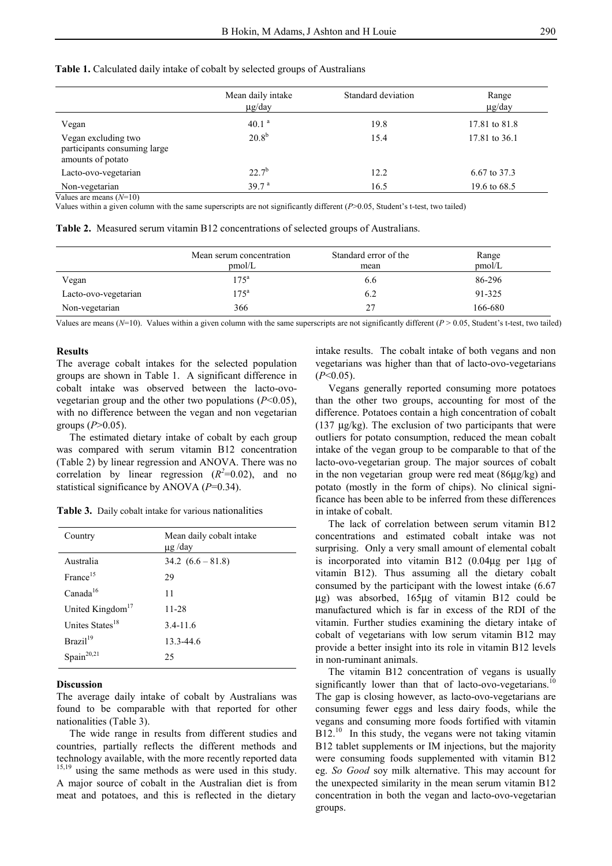|  |  |  | Table 1. Calculated daily intake of cobalt by selected groups of Australians |
|--|--|--|------------------------------------------------------------------------------|
|--|--|--|------------------------------------------------------------------------------|

|                                                                          | Mean daily intake<br>$\mu$ g/day | Standard deviation | Range<br>$\mu$ g/day |
|--------------------------------------------------------------------------|----------------------------------|--------------------|----------------------|
| Vegan                                                                    | 40.1 <sup>a</sup>                | 19.8               | 17.81 to 81.8        |
| Vegan excluding two<br>participants consuming large<br>amounts of potato | $20.8^{b}$                       | 15.4               | 17.81 to 36.1        |
| Lacto-ovo-vegetarian                                                     | $22.7^{b}$                       | 12.2               | 6.67 to 37.3         |
| Non-vegetarian                                                           | 39.7 <sup>a</sup>                | 16.5               | 19.6 to 68.5         |

Values are means (*N*=10)

Values within a given column with the same superscripts are not significantly different (*P*>0.05, Student's t-test, two tailed)

 **Table 2.** Measured serum vitamin B12 concentrations of selected groups of Australians.

|                      | Mean serum concentration<br>pmol/L | Standard error of the<br>mean | Range<br>pmol/L |
|----------------------|------------------------------------|-------------------------------|-----------------|
| Vegan                | $175^{\rm a}$                      | 6.6                           | 86-296          |
| Lacto-ovo-vegetarian | 175 <sup>a</sup>                   | 6.2                           | 91-325          |
| Non-vegetarian       | 366                                | 27                            | 166-680         |

Values are means  $(N=10)$ . Values within a given column with the same superscripts are not significantly different  $(P > 0.05$ , Student's t-test, two tailed)

#### **Results**

The average cobalt intakes for the selected population groups are shown in Table 1. A significant difference in cobalt intake was observed between the lacto-ovovegetarian group and the other two populations (*P*<0.05), with no difference between the vegan and non vegetarian groups (*P*>0.05).

 The estimated dietary intake of cobalt by each group was compared with serum vitamin B12 concentration (Table 2) by linear regression and ANOVA. There was no correlation by linear regression  $(R^2=0.02)$ , and no statistical significance by ANOVA (*P*=0.34).

**Table 3.** Daily cobalt intake for various nationalities

| Country                      | Mean daily cobalt intake<br>$\mu$ g /day |
|------------------------------|------------------------------------------|
| Australia                    | $34.2 (6.6 - 81.8)$                      |
| France <sup>15</sup>         | 29                                       |
| Canada <sup>16</sup>         | 11                                       |
| United Kingdom <sup>17</sup> | 11-28                                    |
| Unites States <sup>18</sup>  | $3.4 - 11.6$                             |
| Brazil <sup>19</sup>         | 13.3-44.6                                |
| Spain <sup>20,21</sup>       | 25                                       |

#### **Discussion**

The average daily intake of cobalt by Australians was found to be comparable with that reported for other nationalities (Table 3).

 The wide range in results from different studies and countries, partially reflects the different methods and technology available, with the more recently reported data  $15,19$  using the same methods as were used in this study. A major source of cobalt in the Australian diet is from meat and potatoes, and this is reflected in the dietary

intake results. The cobalt intake of both vegans and non vegetarians was higher than that of lacto-ovo-vegetarians (*P*<0.05).

 Vegans generally reported consuming more potatoes than the other two groups, accounting for most of the difference. Potatoes contain a high concentration of cobalt (137  $\mu$ g/kg). The exclusion of two participants that were outliers for potato consumption, reduced the mean cobalt intake of the vegan group to be comparable to that of the lacto-ovo-vegetarian group. The major sources of cobalt in the non vegetarian group were red meat (86µg/kg) and potato (mostly in the form of chips). No clinical significance has been able to be inferred from these differences in intake of cobalt.

 The lack of correlation between serum vitamin B12 concentrations and estimated cobalt intake was not surprising. Only a very small amount of elemental cobalt is incorporated into vitamin B12 (0.04µg per 1µg of vitamin B12). Thus assuming all the dietary cobalt consumed by the participant with the lowest intake (6.67 µg) was absorbed, 165µg of vitamin B12 could be manufactured which is far in excess of the RDI of the vitamin. Further studies examining the dietary intake of cobalt of vegetarians with low serum vitamin B12 may provide a better insight into its role in vitamin B12 levels in non-ruminant animals.

 The vitamin B12 concentration of vegans is usually significantly lower than that of lacto-ovo-vegetarians.<sup>10</sup> The gap is closing however, as lacto-ovo-vegetarians are consuming fewer eggs and less dairy foods, while the vegans and consuming more foods fortified with vitamin B12.<sup>10</sup> In this study, the vegans were not taking vitamin B12 tablet supplements or IM injections, but the majority were consuming foods supplemented with vitamin B12 eg. *So Good* soy milk alternative. This may account for the unexpected similarity in the mean serum vitamin B12 concentration in both the vegan and lacto-ovo-vegetarian groups.